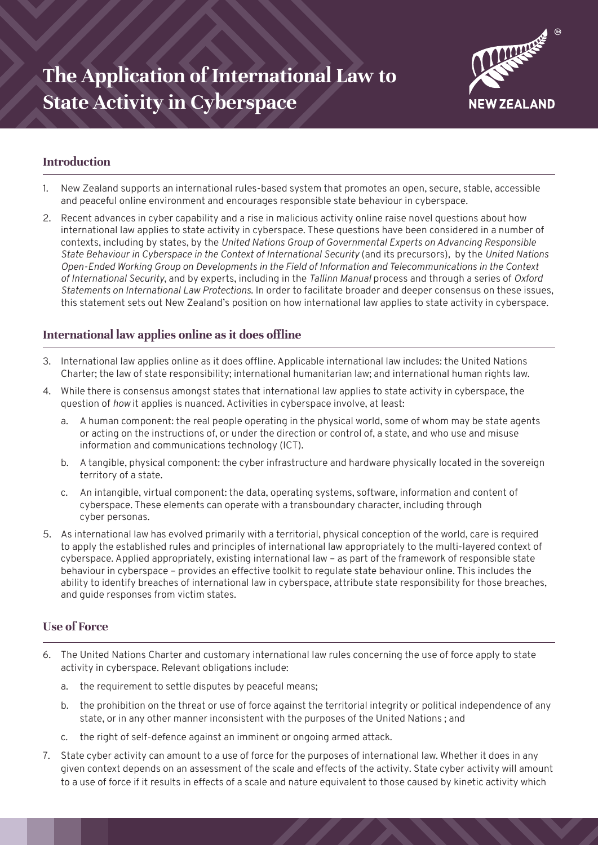

# **Introduction**

- 1. New Zealand supports an international rules-based system that promotes an open, secure, stable, accessible and peaceful online environment and encourages responsible state behaviour in cyberspace.
- 2. Recent advances in cyber capability and a rise in malicious activity online raise novel questions about how international law applies to state activity in cyberspace. These questions have been considered in a number of contexts, including by states, by the *United Nations Group of Governmental Experts on Advancing Responsible State Behaviour in Cyberspace in the Context of International Security* (and its precursors)*,* by the *United Nations Open-Ended Working Group on Developments in the Field of Information and Telecommunications in the Context of International Security*, and by experts, including in the *Tallinn Manual* process and through a series of *Oxford Statements on International Law Protections*. In order to facilitate broader and deeper consensus on these issues, this statement sets out New Zealand's position on how international law applies to state activity in cyberspace.

# **International law applies online as it does offline**

- 3. International law applies online as it does offline. Applicable international law includes: the United Nations Charter; the law of state responsibility; international humanitarian law; and international human rights law.
- 4. While there is consensus amongst states that international law applies to state activity in cyberspace, the question of *how* it applies is nuanced. Activities in cyberspace involve, at least:
	- a. A human component: the real people operating in the physical world, some of whom may be state agents or acting on the instructions of, or under the direction or control of, a state, and who use and misuse information and communications technology (ICT).
	- b. A tangible, physical component: the cyber infrastructure and hardware physically located in the sovereign territory of a state.
	- c. An intangible, virtual component: the data, operating systems, software, information and content of cyberspace. These elements can operate with a transboundary character, including through cyber personas.
- 5. As international law has evolved primarily with a territorial, physical conception of the world, care is required to apply the established rules and principles of international law appropriately to the multi-layered context of cyberspace. Applied appropriately, existing international law – as part of the framework of responsible state behaviour in cyberspace – provides an effective toolkit to regulate state behaviour online. This includes the ability to identify breaches of international law in cyberspace, attribute state responsibility for those breaches, and guide responses from victim states.

## **Use of Force**

- 6. The United Nations Charter and customary international law rules concerning the use of force apply to state activity in cyberspace. Relevant obligations include:
	- a. the requirement to settle disputes by peaceful means;
	- b. the prohibition on the threat or use of force against the territorial integrity or political independence of any state, or in any other manner inconsistent with the purposes of the United Nations ; and
	- c. the right of self-defence against an imminent or ongoing armed attack.
- 7. State cyber activity can amount to a use of force for the purposes of international law. Whether it does in any given context depends on an assessment of the scale and effects of the activity. State cyber activity will amount to a use of force if it results in effects of a scale and nature equivalent to those caused by kinetic activity which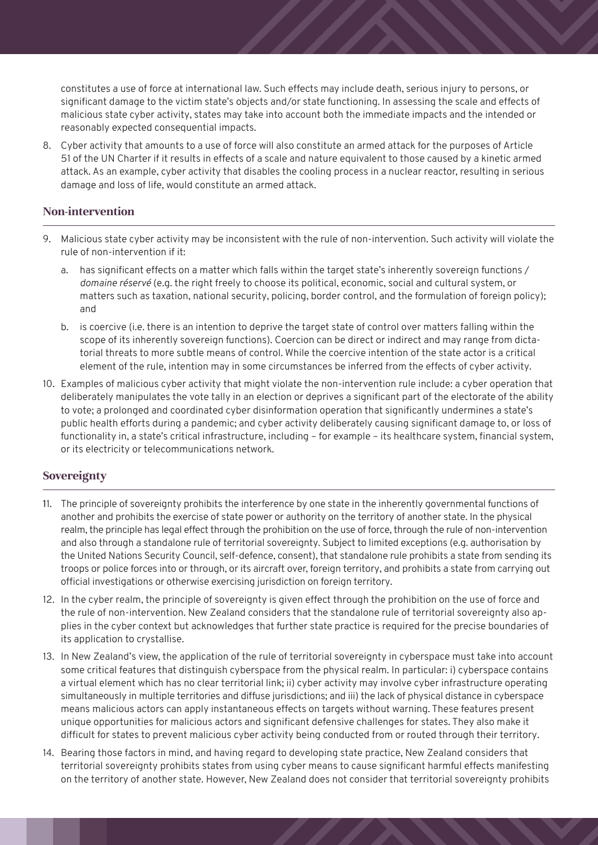constitutes a use of force at international law. Such effects may include death, serious injury to persons, or significant damage to the victim state's objects and/or state functioning. In assessing the scale and effects of malicious state cyber activity, states may take into account both the immediate impacts and the intended or reasonably expected consequential impacts.

8. Cyber activity that amounts to a use of force will also constitute an armed attack for the purposes of Article 51 of the UN Charter if it results in effects of a scale and nature equivalent to those caused by a kinetic armed attack. As an example, cyber activity that disables the cooling process in a nuclear reactor, resulting in serious damage and loss of life, would constitute an armed attack.

## **Non-intervention**

- 9. Malicious state cyber activity may be inconsistent with the rule of non-intervention. Such activity will violate the rule of non-intervention if it:
	- a. has significant effects on a matter which falls within the target state's inherently sovereign functions / *domaine réservé* (e.g. the right freely to choose its political, economic, social and cultural system, or matters such as taxation, national security, policing, border control, and the formulation of foreign policy); and
	- b. is coercive (i.e. there is an intention to deprive the target state of control over matters falling within the scope of its inherently sovereign functions). Coercion can be direct or indirect and may range from dictatorial threats to more subtle means of control. While the coercive intention of the state actor is a critical element of the rule, intention may in some circumstances be inferred from the effects of cyber activity.
- 10. Examples of malicious cyber activity that might violate the non-intervention rule include: a cyber operation that deliberately manipulates the vote tally in an election or deprives a significant part of the electorate of the ability to vote; a prolonged and coordinated cyber disinformation operation that significantly undermines a state's public health efforts during a pandemic; and cyber activity deliberately causing significant damage to, or loss of functionality in, a state's critical infrastructure, including – for example – its healthcare system, financial system, or its electricity or telecommunications network.

## **Sovereignty**

- 11. The principle of sovereignty prohibits the interference by one state in the inherently governmental functions of another and prohibits the exercise of state power or authority on the territory of another state. In the physical realm, the principle has legal effect through the prohibition on the use of force, through the rule of non-intervention and also through a standalone rule of territorial sovereignty. Subject to limited exceptions (e.g. authorisation by the United Nations Security Council, self-defence, consent), that standalone rule prohibits a state from sending its troops or police forces into or through, or its aircraft over, foreign territory, and prohibits a state from carrying out official investigations or otherwise exercising jurisdiction on foreign territory.
- 12. In the cyber realm, the principle of sovereignty is given effect through the prohibition on the use of force and the rule of non-intervention. New Zealand considers that the standalone rule of territorial sovereignty also applies in the cyber context but acknowledges that further state practice is required for the precise boundaries of its application to crystallise.
- 13. In New Zealand's view, the application of the rule of territorial sovereignty in cyberspace must take into account some critical features that distinguish cyberspace from the physical realm. In particular: i) cyberspace contains a virtual element which has no clear territorial link; ii) cyber activity may involve cyber infrastructure operating simultaneously in multiple territories and diffuse jurisdictions; and iii) the lack of physical distance in cyberspace means malicious actors can apply instantaneous effects on targets without warning. These features present unique opportunities for malicious actors and significant defensive challenges for states. They also make it difficult for states to prevent malicious cyber activity being conducted from or routed through their territory.
- 14. Bearing those factors in mind, and having regard to developing state practice, New Zealand considers that territorial sovereignty prohibits states from using cyber means to cause significant harmful effects manifesting on the territory of another state. However, New Zealand does not consider that territorial sovereignty prohibits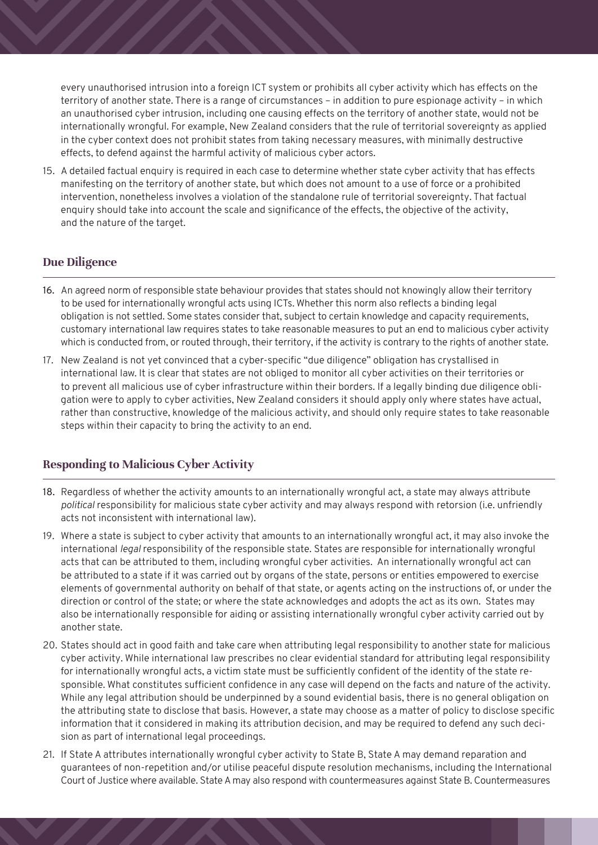every unauthorised intrusion into a foreign ICT system or prohibits all cyber activity which has effects on the territory of another state. There is a range of circumstances – in addition to pure espionage activity – in which an unauthorised cyber intrusion, including one causing effects on the territory of another state, would not be internationally wrongful. For example, New Zealand considers that the rule of territorial sovereignty as applied in the cyber context does not prohibit states from taking necessary measures, with minimally destructive effects, to defend against the harmful activity of malicious cyber actors.

15. A detailed factual enquiry is required in each case to determine whether state cyber activity that has effects manifesting on the territory of another state, but which does not amount to a use of force or a prohibited intervention, nonetheless involves a violation of the standalone rule of territorial sovereignty. That factual enquiry should take into account the scale and significance of the effects, the objective of the activity, and the nature of the target.

## **Due Diligence**

- 16. An agreed norm of responsible state behaviour provides that states should not knowingly allow their territory to be used for internationally wrongful acts using ICTs. Whether this norm also reflects a binding legal obligation is not settled. Some states consider that, subject to certain knowledge and capacity requirements, customary international law requires states to take reasonable measures to put an end to malicious cyber activity which is conducted from, or routed through, their territory, if the activity is contrary to the rights of another state.
- 17. New Zealand is not yet convinced that a cyber-specific "due diligence" obligation has crystallised in international law. It is clear that states are not obliged to monitor all cyber activities on their territories or to prevent all malicious use of cyber infrastructure within their borders. If a legally binding due diligence obligation were to apply to cyber activities, New Zealand considers it should apply only where states have actual, rather than constructive, knowledge of the malicious activity, and should only require states to take reasonable steps within their capacity to bring the activity to an end.

#### **Responding to Malicious Cyber Activity**

- 18. Regardless of whether the activity amounts to an internationally wrongful act, a state may always attribute *political* responsibility for malicious state cyber activity and may always respond with retorsion (i.e. unfriendly acts not inconsistent with international law).
- 19. Where a state is subject to cyber activity that amounts to an internationally wrongful act, it may also invoke the international *legal* responsibility of the responsible state. States are responsible for internationally wrongful acts that can be attributed to them, including wrongful cyber activities. An internationally wrongful act can be attributed to a state if it was carried out by organs of the state, persons or entities empowered to exercise elements of governmental authority on behalf of that state, or agents acting on the instructions of, or under the direction or control of the state; or where the state acknowledges and adopts the act as its own. States may also be internationally responsible for aiding or assisting internationally wrongful cyber activity carried out by another state.
- 20. States should act in good faith and take care when attributing legal responsibility to another state for malicious cyber activity. While international law prescribes no clear evidential standard for attributing legal responsibility for internationally wrongful acts, a victim state must be sufficiently confident of the identity of the state responsible. What constitutes sufficient confidence in any case will depend on the facts and nature of the activity. While any legal attribution should be underpinned by a sound evidential basis, there is no general obligation on the attributing state to disclose that basis. However, a state may choose as a matter of policy to disclose specific information that it considered in making its attribution decision, and may be required to defend any such decision as part of international legal proceedings.
- 21. If State A attributes internationally wrongful cyber activity to State B, State A may demand reparation and guarantees of non-repetition and/or utilise peaceful dispute resolution mechanisms, including the International Court of Justice where available. State A may also respond with countermeasures against State B. Countermeasures